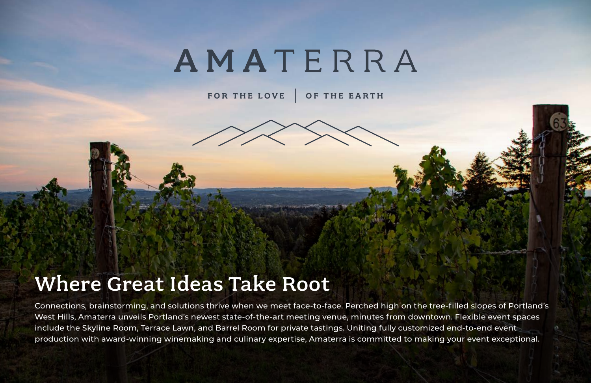# AMATERRA

OF THE EARTH FOR THE LOVE

## Where Great Ideas Take Root

Connections, brainstorming, and solutions thrive when we meet face-to-face. Perched high on the tree-filled slopes of Portland's West Hills, Amaterra unveils Portland's newest state-of-the-art meeting venue, minutes from downtown. Flexible event spaces include the Skyline Room, Terrace Lawn, and Barrel Room for private tastings. Uniting fully customized end-to-end event production with award-winning winemaking and culinary expertise, Amaterra is committed to making your event exceptional.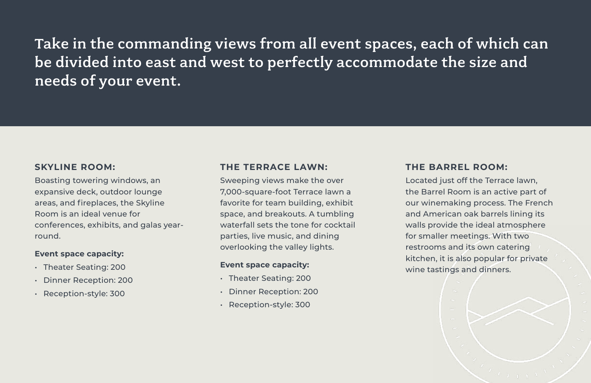### **SKYLINE ROOM:**

Boasting towering windows, an expansive deck, outdoor lounge areas, and fireplaces, the Skyline Room is an ideal venue for conferences, exhibits, and galas yearround.

### **Event space capacity:**

- Theater Seating: 200
- Dinner Reception: 200
- Reception-style: 300

## **THE TERRACE LAWN:**

Sweeping views make the over 7,000-square-foot Terrace lawn a favorite for team building, exhibit space, and breakouts. A tumbling waterfall sets the tone for cocktail parties, live music, and dining overlooking the valley lights.

### **Event space capacity:**

- Theater Seating: 200
- Dinner Reception: 200
- Reception-style: 300

### **THE BARREL ROOM:**

Located just off the Terrace lawn, the Barrel Room is an active part of our winemaking process. The French and American oak barrels lining its walls provide the ideal atmosphere for smaller meetings. With two restrooms and its own catering kitchen, it is also popular for private wine tastings and dinners.

Take in the commanding views from all event spaces, each of which can be divided into east and west to perfectly accommodate the size and needs of your event.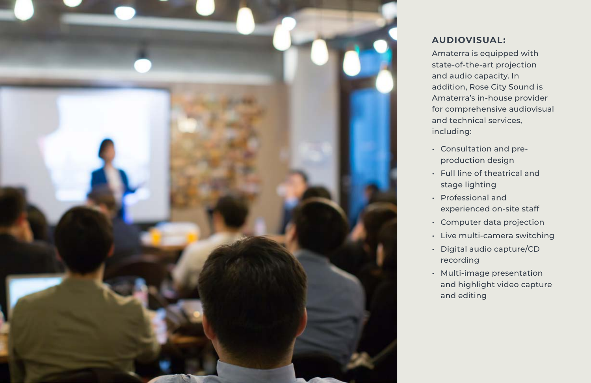

## **AUDIOVISUAL:**

Amaterra is equipped with state-of-the-art projection and audio capacity. In addition, Rose City Sound is Amaterra's in-house provider for comprehensive audiovisual and technical services, including:

• Consultation and preproduction design • Full line of theatrical and stage lighting • Professional and experienced on-site staff • Computer data projection • Live multi-camera switching • Digital audio capture/CD recording • Multi-image presentation and highlight video capture and editing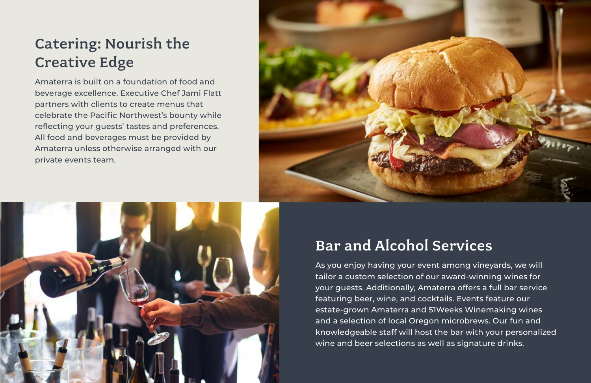## Catering: Nourish the Creative Edge

Amaterra is built on a foundation of food and beverage excellence. Executive Chef Jami Flatt partners with clients to create menus that celebrate the Pacific Northwest's bounty while reflecting your guests' tastes and preferences. All food and beverages must be provided by Amaterra unless otherwise arranged with our private events team.





## Bar and Alcohol Services

As you enjoy having your event among vineyards, we will tailor a custom selection of our award-winning wines for your guests. Additionally, Amaterra offers a full bar service featuring beer, wine, and cocktails. Events feature our estate-grown Amaterra and 51Weeks Winemaking wines and a selection of local Oregon microbrews. Our fun and knowledgeable staff will host the bar with your personalized wine and beer selections as well as signature drinks.